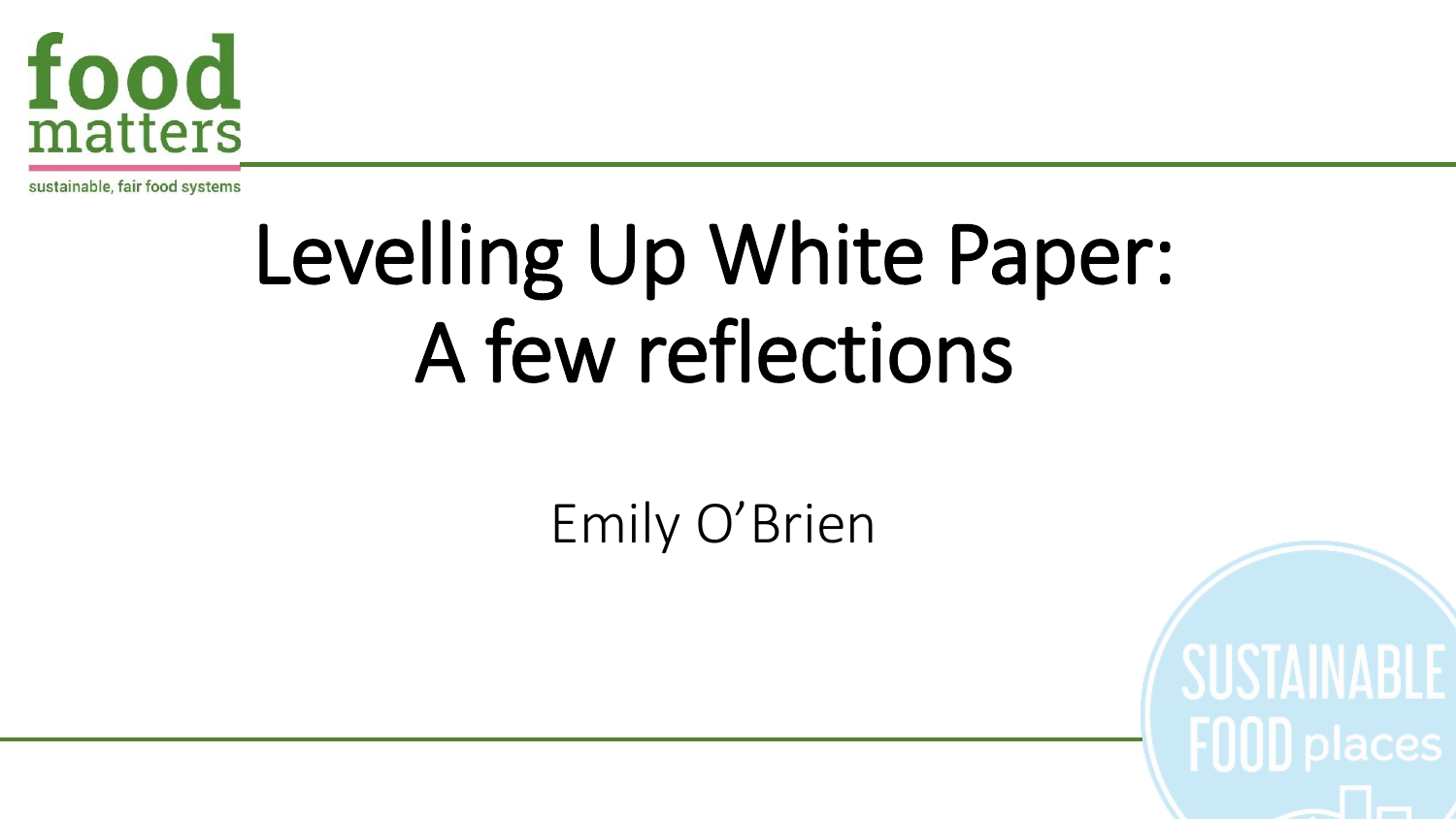

sustainable, fair food systems

## Levelling Up White Paper: A few reflections

#### Emily O'Brien

**SUSTAINABLE**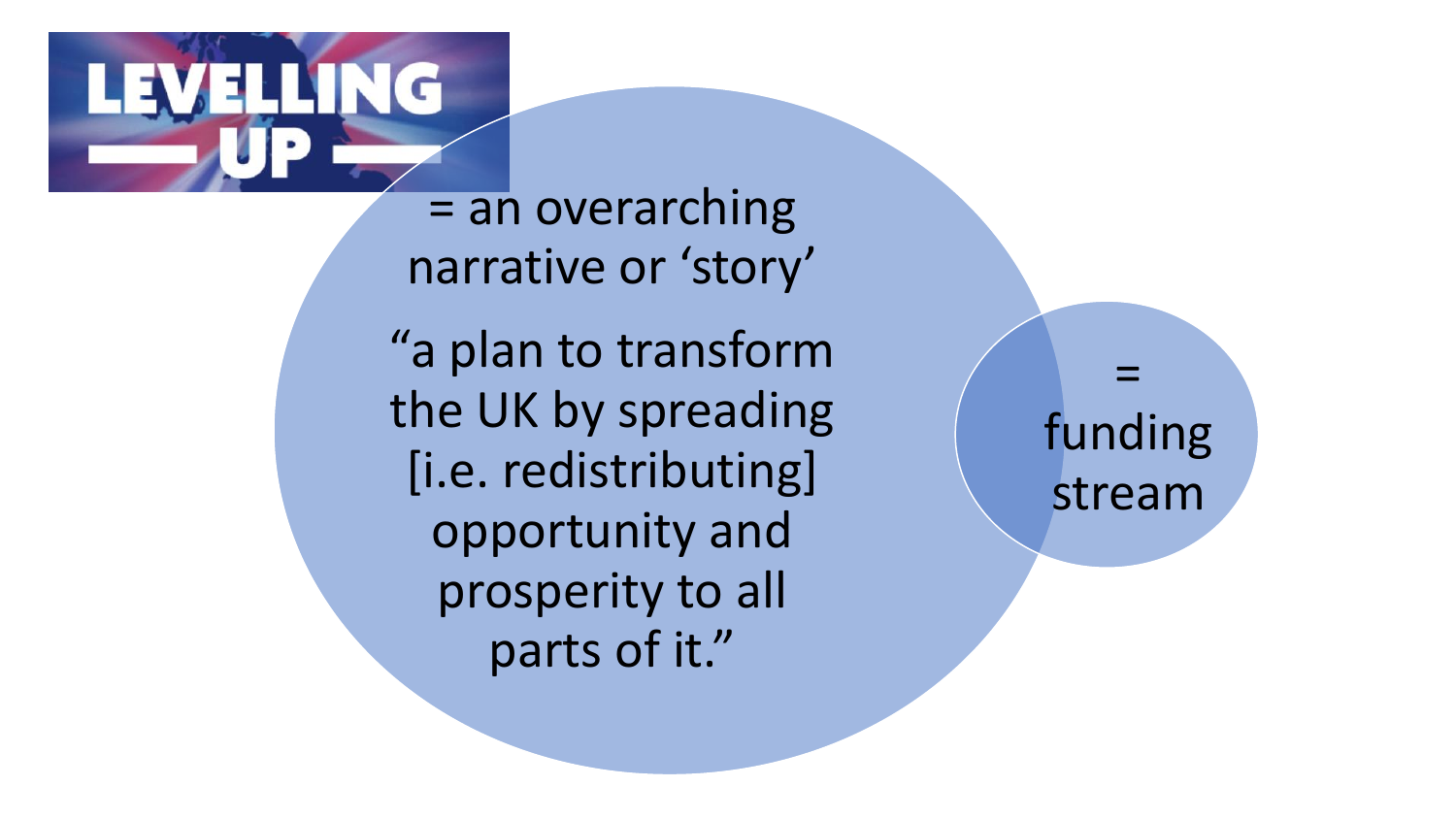

= an overarching narrative or 'story'

"a plan to transform the UK by spreading [i.e. redistributing] opportunity and prosperity to all parts of it."

= funding stream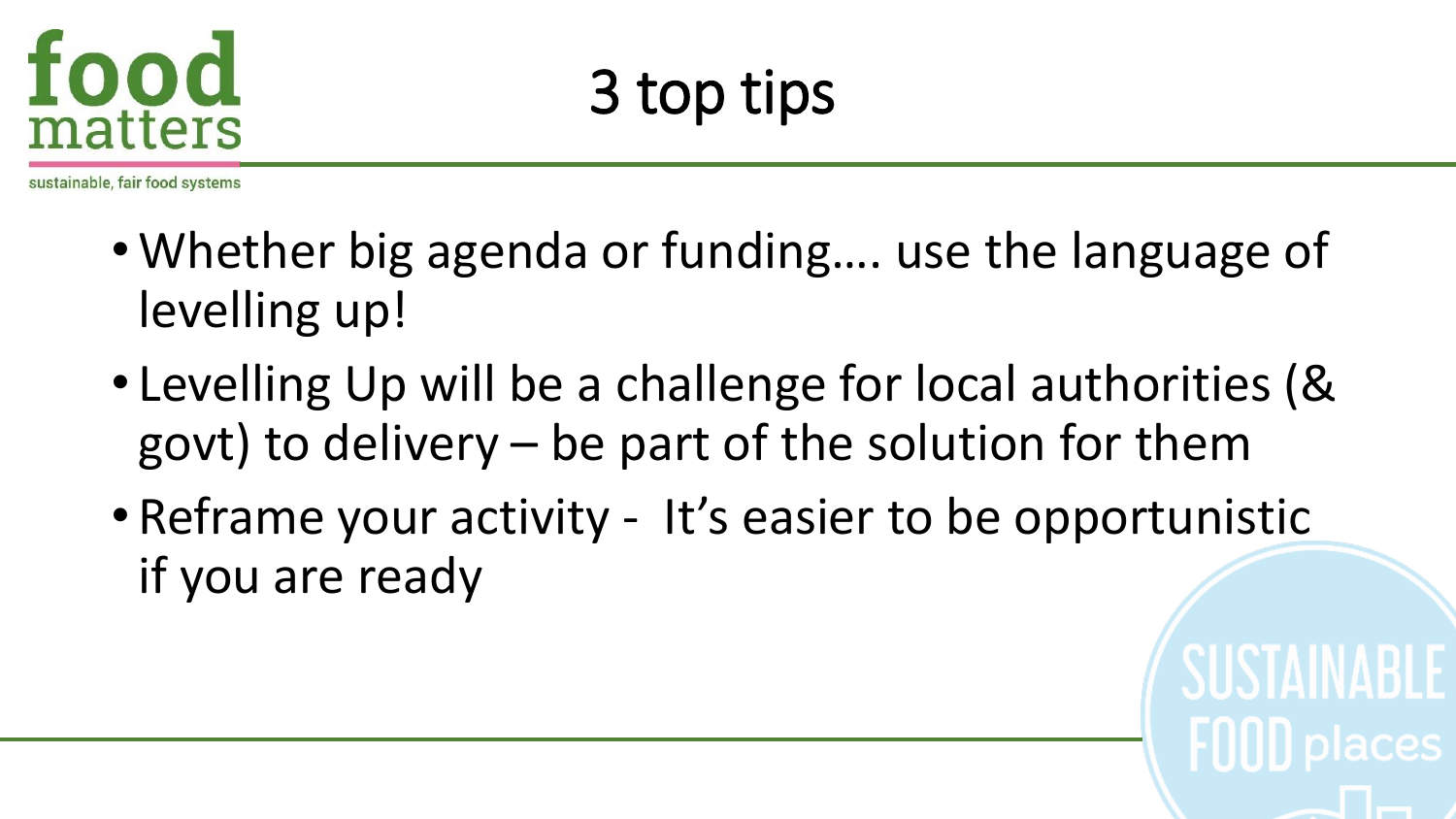

## 3 top tips

sustainable, fair food systems

- Whether big agenda or funding…. use the language of levelling up!
- Levelling Up will be a challenge for local authorities (& govt) to delivery – be part of the solution for them
- Reframe your activity It's easier to be opportunistic if you are ready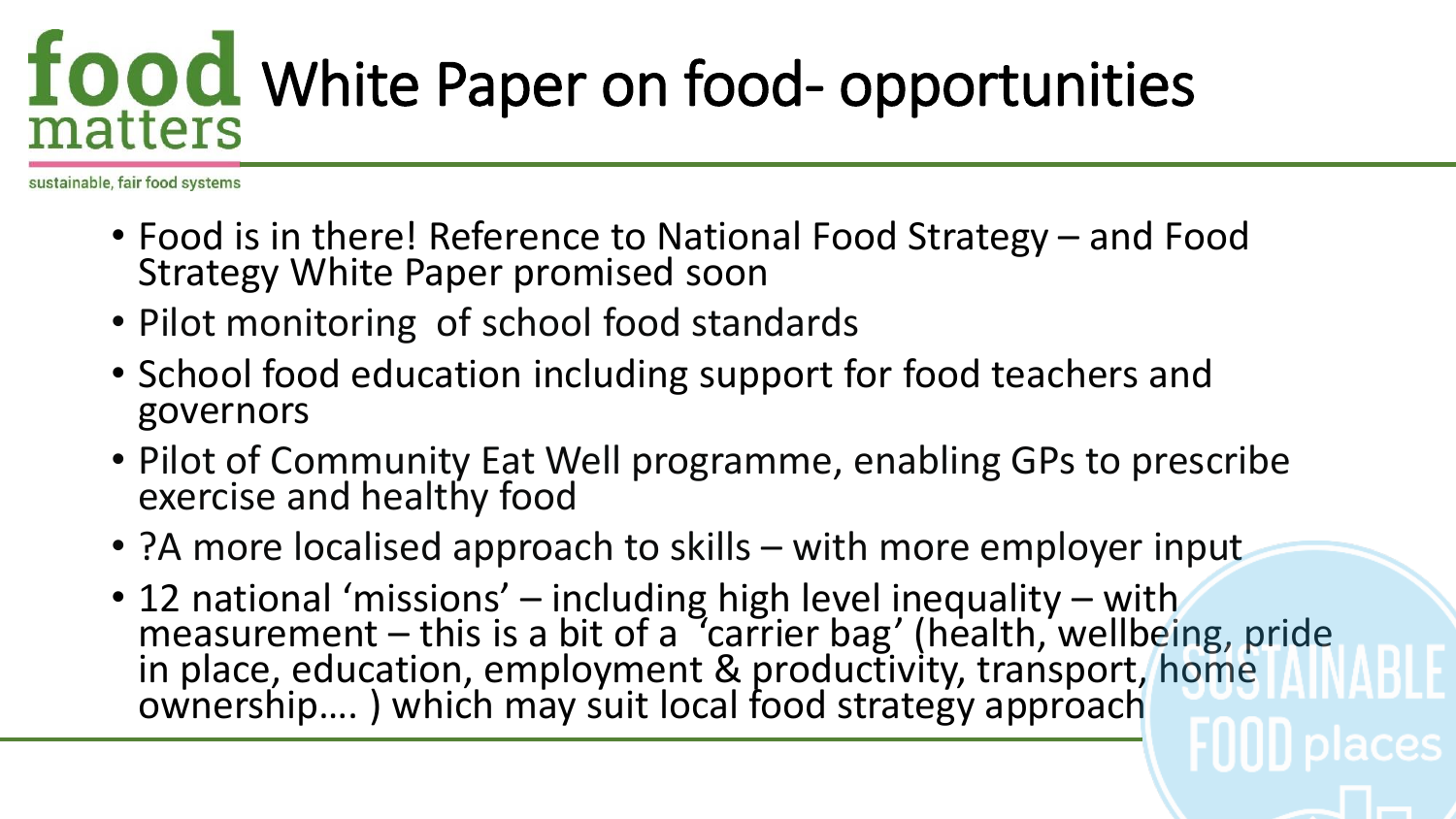## **food** White Paper on food- opportunities

sustainable, fair food systems

- Food is in there! Reference to National Food Strategy and Food Strategy White Paper promised soon
- Pilot monitoring of school food standards
- School food education including support for food teachers and governors
- Pilot of Community Eat Well programme, enabling GPs to prescribe exercise and healthy food
- ?A more localised approach to skills with more employer input
- 12 national 'missions' including high level inequality with measurement – this is a bit of a carrier bag' (health, wellbeing, pride in place, education, employment & productivity, transport, home ownership…. ) which may suit local food strategy approach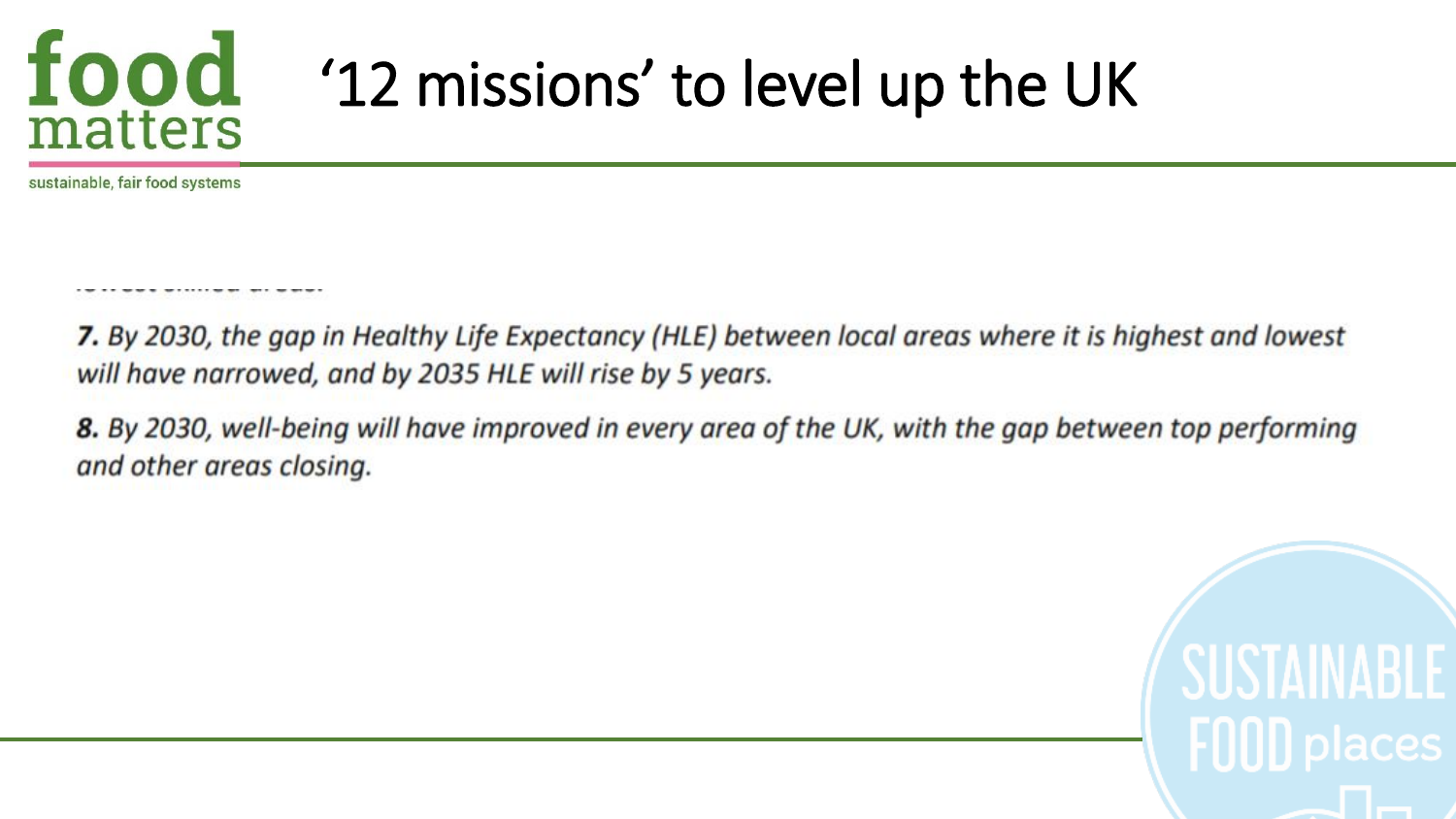

### '12 missions' to level up the UK

sustainable, fair food systems

7. By 2030, the gap in Healthy Life Expectancy (HLE) between local areas where it is highest and lowest will have narrowed, and by 2035 HLE will rise by 5 years.

8. By 2030, well-being will have improved in every area of the UK, with the gap between top performing and other areas closing.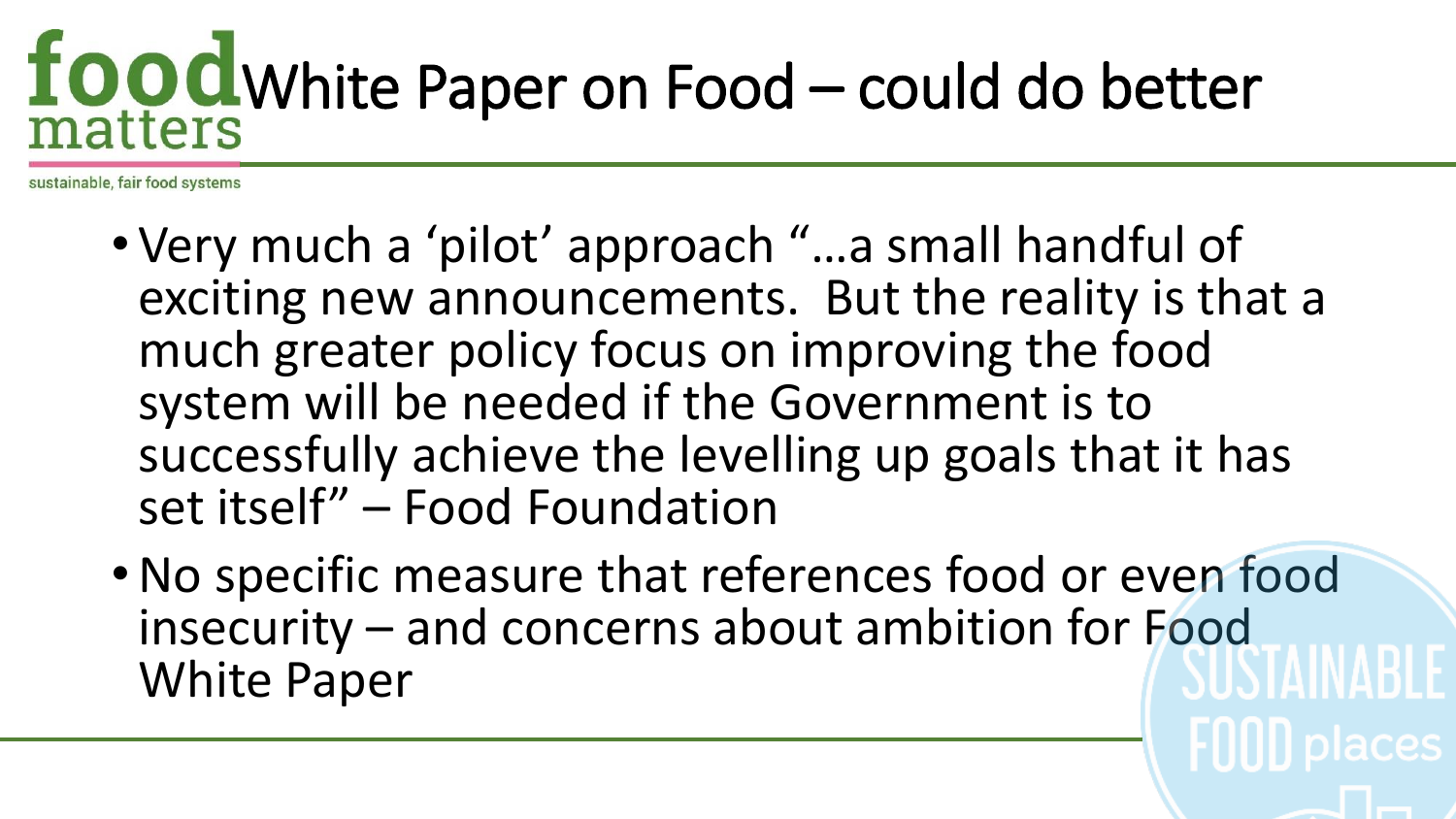# **TOOO** White Paper on Food – could do better

sustainable, fair food systems

- Very much a 'pilot' approach "…a small handful of exciting new announcements. But the reality is that a much greater policy focus on improving the food system will be needed if the Government is to successfully achieve the levelling up goals that it has set itself" – Food Foundation
- •No specific measure that references food or even food insecurity – and concerns about ambition for Food White Paper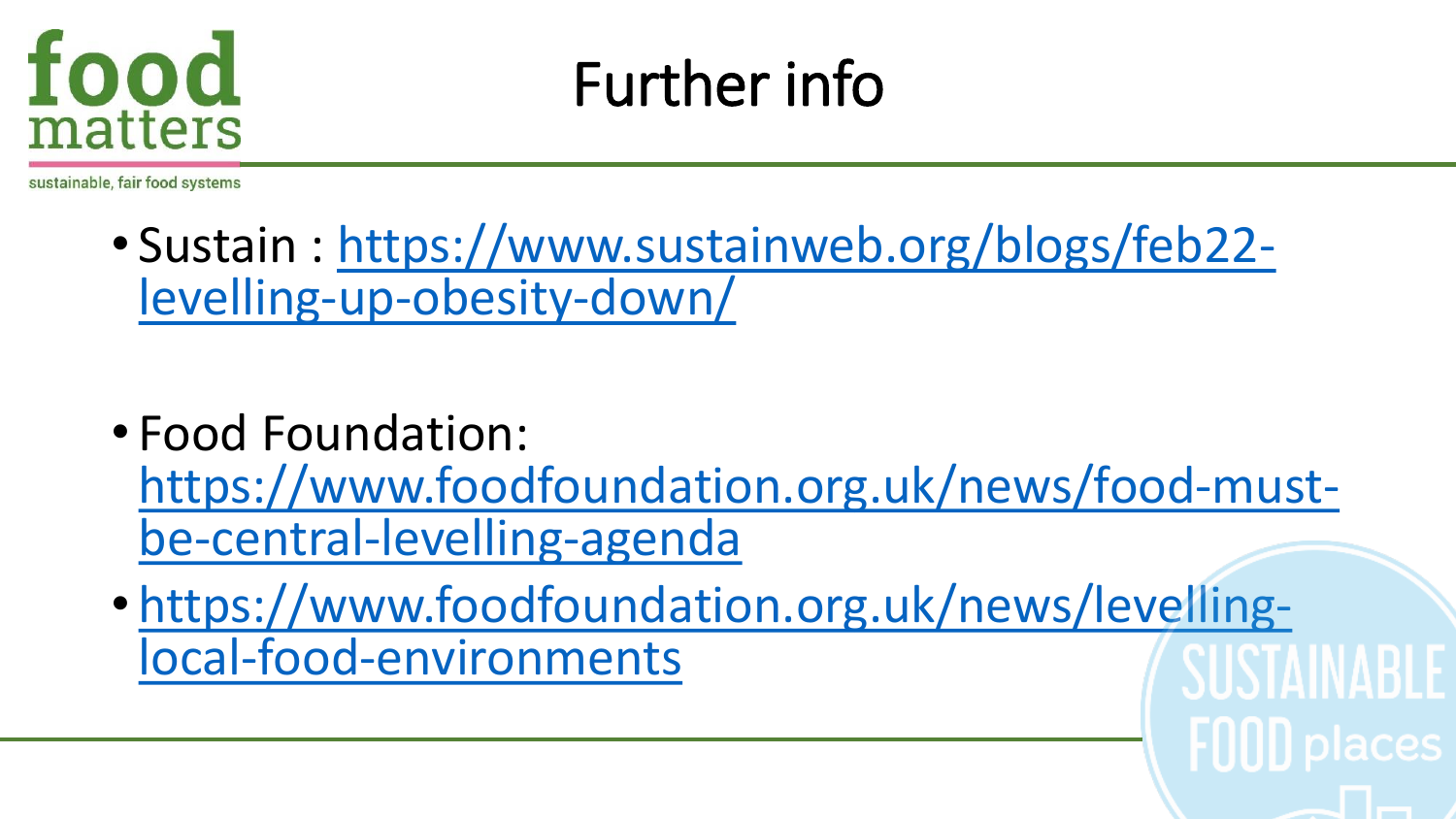

### Further info

sustainable, fair food systems

- [Sustain : https://www.sustainweb.org/blogs/feb22](https://www.sustainweb.org/blogs/feb22-levelling-up-obesity-down/) levelling-up-obesity-down/
- Food Foundation:

[https://www.foodfoundation.org.uk/news/food-must](https://www.foodfoundation.org.uk/news/food-must-be-central-levelling-agenda)be-central-levelling-agenda

• [https://www.foodfoundation.org.uk/news/levelling](https://www.foodfoundation.org.uk/news/levelling-local-food-environments)local-food-environments